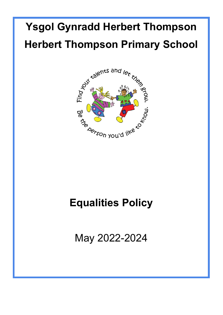# **Ysgol Gynradd Herbert Thompson Herbert Thompson Primary School**



## **Equalities Policy**

May 2022-2024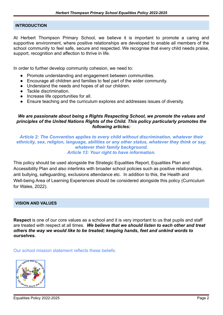#### **INTRODUCTION**

At Herbert Thompson Primary School, we believe it is important to promote a caring and supportive environment, where positive relationships are developed to enable all members of the school community to feel safe, secure and respected. We recognise that every child needs praise, support, recognition and affection to thrive in life.

In order to further develop community cohesion, we need to:

- Promote understanding and engagement between communities.
- Encourage all children and families to feel part of the wider community.
- Understand the needs and hopes of all our children.
- Tackle discrimination.
- Increase life opportunities for all.
- Ensure teaching and the curriculum explores and addresses issues of diversity.

#### *We are passionate about being a Rights Respecting School, we promote the values and principles of the United Nations Rights of the Child. This policy particularly promotes the following articles:*

#### *Article 2: The Convention applies to every child without discrimination, whatever their ethnicity, sex, religion, language, abilities or any other status, whatever they think or say, whatever their family background. Article 13: Your right to have information.*

This policy should be used alongside the Strategic Equalities Report, Equalities Plan and Accessibility Plan and also interlinks with broader school policies such as positive relationships, anti bullying, safeguarding, exclusions attendance etc. In addition to this, the Health and Well-being Area of Learning Experiences should be considered alongside this policy (Curriculum for Wales, 2022).

#### **VISION AND VALUES**

**Respect** is one of our core values as a school and it is very important to us that pupils and staff are treated with respect at all times. *We believe that we should listen to each other and treat others the way we would like to be treated; keeping hands, feet and unkind words to ourselves.*

Our school mission statement reflects these beliefs:

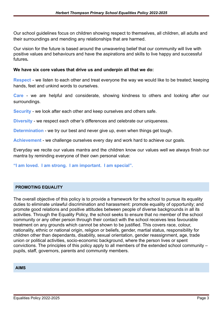Our school guidelines focus on children showing respect to themselves, all children, all adults and their surroundings and mending any relationships that are harmed.

Our vision for the future is based around the unwavering belief that our community will live with positive values and behaviours and have the aspirations and skills to live happy and successful futures**.**

#### **We have six core values that drive us and underpin all that we do:**

**Respect** - we listen to each other and treat everyone the way we would like to be treated; keeping hands, feet and unkind words to ourselves.

**Care** - we are helpful and considerate, showing kindness to others and looking after our surroundings.

**Security** - we look after each other and keep ourselves and others safe.

**Diversity** - we respect each other's differences and celebrate our uniqueness.

**Determination** - we try our best and never give up, even when things get tough.

**Achievement** - we challenge ourselves every day and work hard to achieve our goals.

Everyday we recite our values mantra and the children know our values well we always finish our mantra by reminding everyone of their own personal value:

**"I am loved. I am strong. I am important. I am special".**

#### **PROMOTING EQUALITY**

The overall objective of this policy is to provide a framework for the school to pursue its equality duties to eliminate unlawful discrimination and harassment: promote equality of opportunity; and promote good relations and positive attitudes between people of diverse backgrounds in all its activities. Through the Equality Policy, the school seeks to ensure that no member of the school community or any other person through their contact with the school receives less favourable treatment on any grounds which cannot be shown to be justified. This covers race, colour, nationality, ethnic or national origin, religion or beliefs, gender, martial status, responsibility for children other than dependants, disability, sexual orientation, gender reassignment, age, trade union or political activities, socio-economic background, where the person lives or spent convictions. The principles of this policy apply to all members of the extended school community – pupils, staff, governors, parents and community members.

#### **AIMS**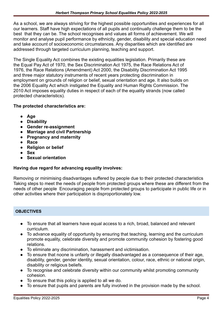As a school, we are always striving for the highest possible opportunities and experiences for all our learners. Staff have high expectations of all pupils and continually challenge them to be the best that they can be. The school recognises and values all forms of achievement. We will monitor and analyse pupil performance by ethnicity, gender, disability and special education need and take account of socioeconomic circumstances. Any disparities which are identified are addressed through targeted curriculum planning, teaching and support.

The Single Equality Act combines the existing equalities legislation. Primarily these are the Equal Pay Act of 1970, the Sex Discrimination Act 1975, the Race Relations Act of 1976, the Race Relations (Amendment) Act 2000, the Disability Discrimination Act 1995 and three major statutory instruments of recent years protecting discrimination in employment on grounds of religion or belief, sexual orientation and age. It also builds on the 2006 Equality Act which instigated the Equality and Human Rights Commission. The 2010 Act imposes equality duties in respect of each of the equality strands (now called protected characteristics).

#### **The protected characteristics are:**

- **● Age**
- **● Disability**
- **● Gender re-assignment**
- **● Marriage and civil Partnership**
- **● Pregnancy and maternity**
- **● Race**
- **● Religion or belief**
- **● Sex**
- **● Sexual orientation**

#### **Having due regard for advancing equality involves:**

Removing or minimising disadvantages suffered by people due to their protected characteristics Taking steps to meet the needs of people from protected groups where these are different from the needs of other people Encouraging people from protected groups to participate in public life or in other activities where their participation is disproportionately low.

#### **OBJECTIVES**

- To ensure that all learners have equal access to a rich, broad, balanced and relevant curriculum.
- To advance equality of opportunity by ensuring that teaching, learning and the curriculum promote equality, celebrate diversity and promote community cohesion by fostering good relations.
- To eliminate any discrimination, harassment and victimisation.
- To ensure that noone is unfairly or illegally disadvantaged as a consequence of their age, disability, gender, gender identity, sexual orientation, colour, race, ethnic or national origin, disability or religious beliefs.
- To recognise and celebrate diversity within our community whilst promoting community cohesion.
- To ensure that this policy is applied to all we do.
- To ensure that pupils and parents are fully involved in the provision made by the school.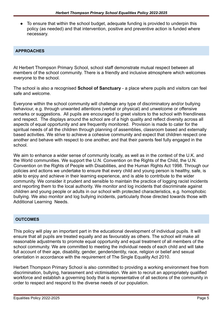● To ensure that within the school budget, adequate funding is provided to underpin this policy (as needed) and that intervention, positive and preventive action is funded where necessary.

#### **APPROACHES**

At Herbert Thompson Primary School, school staff demonstrate mutual respect between all members of the school community. There is a friendly and inclusive atmosphere which welcomes everyone to the school.

The school is also a recognised **School of Sanctuary** - a place where pupils and visitors can feel safe and welcome.

Everyone within the school community will challenge any type of discriminatory and/or bullying behaviour, e.g. through unwanted attentions (verbal or physical) and unwelcome or offensive remarks or suggestions. All pupils are encouraged to greet visitors to the school with friendliness and respect. The displays around the school are of a high quality and reflect diversity across all aspects of equal opportunity and are frequently monitored. Provision is made to cater for the spiritual needs of all the children through planning of assemblies, classroom based and externally based activities. We strive to achieve a cohesive community and expect that children respect one another and behave with respect to one another, and that their parents feel fully engaged in the school.

We aim to enhance a wider sense of community locally, as well as in the context of the U.K. and the World communities. We support the U.N. Convention on the Rights of the Child, the U.N. Convention on the Rights of People with Disabilities, and the Human Rights Act 1998. Through our policies and actions we undertake to ensure that every child and young person is healthy, safe, is able to enjoy and achieve in their learning experience, and is able to contribute to the wider community. We consider it prudent and sensible to maintain the practice of logging racist incidents and reporting them to the local authority. We monitor and log incidents that discriminate against children and young people or adults in our school with protected characteristics, e.g. homophobic bullying. We also monitor and log bullying incidents, particularly those directed towards those with Additional Learning Needs.

#### **OUTCOMES**

This policy will play an important part in the educational development of individual pupils. It will ensure that all pupils are treated equally and as favourably as others. The school will make all reasonable adjustments to promote equal opportunity and equal treatment of all members of the school community. We are committed to meeting the individual needs of each child and will take full account of their age, disability, gender, genderidentity, race, religion or belief and sexual orientation in accordance with the requirement of The Single Equality Act 2010.

Herbert Thompson Primary School is also committed to providing a working environment free from discrimination, bullying, harassment and victimisation. We aim to recruit an appropriately qualified workforce and establish a governing body that is representative of all sections of the community in order to respect and respond to the diverse needs of our population.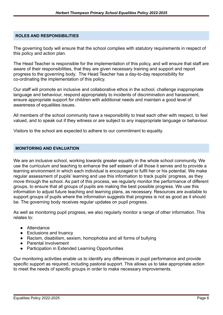#### **ROLES AND RESPONSIBILITIES**

The governing body will ensure that the school complies with statutory requirements in respect of this policy and action plan.

The Head Teacher is responsible for the implementation of this policy, and will ensure that staff are aware of their responsibilities, that they are given necessary training and support and report progress to the governing body. The Head Teacher has a day-to-day responsibility for co-ordinating the implementation of this policy.

Our staff will promote an inclusive and collaborative ethos in the school, challenge inappropriate language and behaviour, respond appropriately to incidents of discrimination and harassment, ensure appropriate support for children with additional needs and maintain a good level of awareness of equalities issues.

All members of the school community have a responsibility to treat each other with respect, to feel valued, and to speak out if they witness or are subject to any inappropriate language or behaviour.

Visitors to the school are expected to adhere to our commitment to equality.

#### **MONITORING AND EVALUATION**

We are an inclusive school, working towards greater equality in the whole school community. We use the curriculum and teaching to enhance the self esteem of all those it serves and to provide a learning environment in which each individual is encouraged to fulfil her or his potential. We make regular assessment of pupils' learning and use this information to track pupils' progress, as they move through the school. As part of this process, we regularly monitor the performance of different groups, to ensure that all groups of pupils are making the best possible progress. We use this information to adjust future teaching and learning plans, as necessary. Resources are available to support groups of pupils where the information suggests that progress is not as good as it should be. The governing body receives regular updates on pupil progress.

As well as monitoring pupil progress, we also regularly monitor a range of other information. This relates to:

- Attendance
- Exclusions and truancy
- Racism, disabilism, sexism, homophobia and all forms of bullying
- Parental involvement
- Participation in Extended Learning Opportunities

Our monitoring activities enable us to identify any differences in pupil performance and provide specific support as required, including pastoral support. This allows us to take appropriate action to meet the needs of specific groups in order to make necessary improvements.